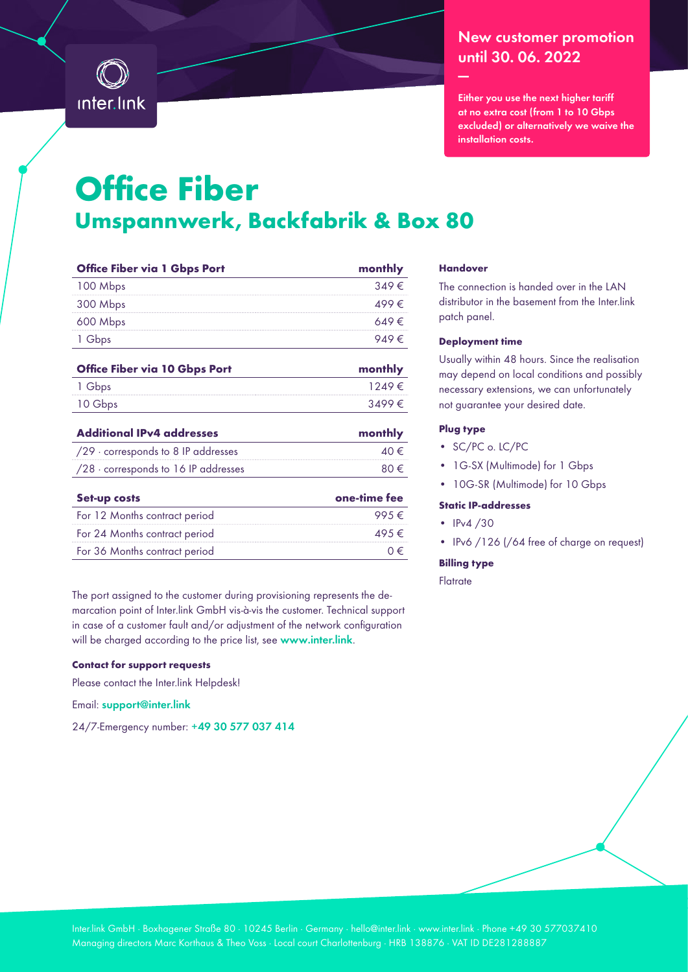

### New customer promotion until 30. 06. 2022

Either you use the next higher tariff at no extra cost (from 1 to 10 Gbps excluded) or alternatively we waive the installation costs.

# **Office Fiber Umspannwerk, Backfabrik & Box 80**

| <b>Office Fiber via 1 Gbps Port</b> | monthly   |
|-------------------------------------|-----------|
| 100 Mbps                            | $349 \in$ |
| 300 Mbps                            | 499 €     |
| 600 Mbps                            | 649 €     |
| Gbps                                | 949 €     |
| Office Fiber via 10 Gbps Port       | monthly   |
| Gbps                                | 1249€     |

| <b>Additional IPv4 addresses</b>             | monthly        |
|----------------------------------------------|----------------|
| $/29$ $\cdot$ corresponds to 8 IP addresses  | $\Delta 0 \in$ |
| $/28$ $\cdot$ corresponds to 16 IP addresses | $80 \in$       |
|                                              |                |

10 Gbps 3499 €

| Set-up costs                  | one-time fee     |
|-------------------------------|------------------|
| For 12 Months contract period |                  |
| For 24 Months contract period | $\angle 495 \in$ |
| For 36 Months contract period |                  |

The port assigned to the customer during provisioning represents the demarcation point of Inter.link GmbH vis-à-vis the customer. Technical support in case of a customer fault and/or adjustment of the network configuration will be charged according to the price list, see [www.inter.link](https://inter.link).

#### **Contact for support requests**

Please contact the Inter.link Helpdesk!

Email: [support@inter.link](mailto:support%40inter.link?subject=)

24/7-Emergency number: +49 30 577 037 414

#### **Handover**

—

The connection is handed over in the LAN distributor in the basement from the Inter.link patch panel.

#### **Deployment time**

Usually within 48 hours. Since the realisation may depend on local conditions and possibly necessary extensions, we can unfortunately not guarantee your desired date.

#### **Plug type**

- SC/PC o. LC/PC
- 1G-SX (Multimode) for 1 Gbps
- 10G-SR (Multimode) for 10 Gbps

#### **Static IP-addresses**

- IPv4 /30
- IPv6 /126 (/64 free of charge on request)

#### **Billing type**

Flatrate

Inter.link GmbH · Boxhagener Straße 80 · 10245 Berlin · Germany · [hello@inter.link](mailto:hello@inter.link) · [www.inter.link](https://inter.link) · Phone +49 30 577037410 Managing directors Marc Korthaus & Theo Voss · Local court Charlottenburg · HRB 138876 · VAT ID DE281288887